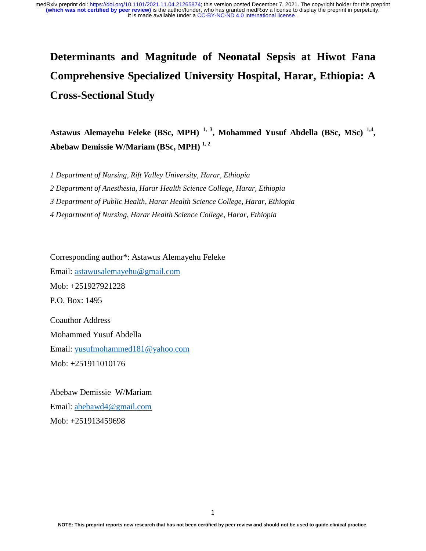# **Determinants and Magnitude of Neonatal Sepsis at Hiwot Fana Comprehensive Specialized University Hospital, Harar, Ethiopia: A Cross-Sectional Study**

**Astawus Alemayehu Feleke (BSc, MPH) 1, 3, Mohammed Yusuf Abdella (BSc, MSc) 1,4, Abebaw Demissie W/Mariam (BSc, MPH) 1, 2** 

*1 Department of Nursing, Rift Valley University, Harar, Ethiopia* 

*2 Department of Anesthesia, Harar Health Science College, Harar, Ethiopia* 

*3 Department of Public Health, Harar Health Science College, Harar, Ethiopia* 

*4 Department of Nursing, Harar Health Science College, Harar, Ethiopia* 

Corresponding author\*: Astawus Alemayehu Feleke Email: astawusalemayehu@gmail.com Mob: +251927921228 P.O. Box: 1495 Coauthor Address Mohammed Yusuf Abdella Email: yusufmohammed181@yahoo.com

Mob: +251911010176

Abebaw Demissie W/Mariam Email: abebawd4@gmail.com Mob: +251913459698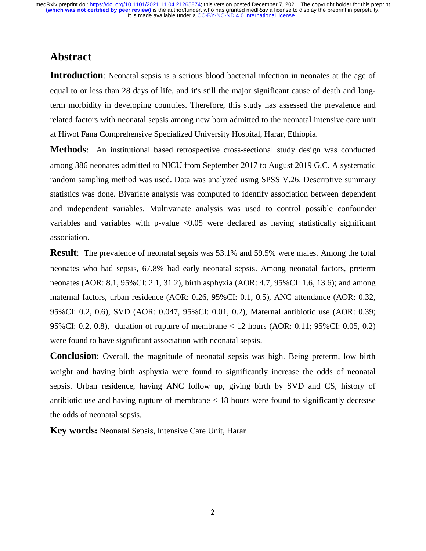## **Abstract**

**Introduction**: Neonatal sepsis is a serious blood bacterial infection in neonates at the age of equal to or less than 28 days of life, and it's still the major significant cause of death and longterm morbidity in developing countries. Therefore, this study has assessed the prevalence and related factors with neonatal sepsis among new born admitted to the neonatal intensive care unit at Hiwot Fana Comprehensive Specialized University Hospital, Harar, Ethiopia.

**Methods**: An institutional based retrospective cross-sectional study design was conducted among 386 neonates admitted to NICU from September 2017 to August 2019 G.C. A systematic random sampling method was used. Data was analyzed using SPSS V.26. Descriptive summary statistics was done. Bivariate analysis was computed to identify association between dependent and independent variables. Multivariate analysis was used to control possible confounder variables and variables with p-value  $\langle 0.05 \rangle$  were declared as having statistically significant association.

**Result**: The prevalence of neonatal sepsis was 53.1% and 59.5% were males. Among the total neonates who had sepsis, 67.8% had early neonatal sepsis. Among neonatal factors, preterm neonates (AOR: 8.1, 95%CI: 2.1, 31.2), birth asphyxia (AOR: 4.7, 95%CI: 1.6, 13.6); and among maternal factors, urban residence (AOR: 0.26, 95%CI: 0.1, 0.5), ANC attendance (AOR: 0.32, 95%CI: 0.2, 0.6), SVD (AOR: 0.047, 95%CI: 0.01, 0.2), Maternal antibiotic use (AOR: 0.39; 95%CI: 0.2, 0.8), duration of rupture of membrane < 12 hours (AOR: 0.11; 95%CI: 0.05, 0.2) were found to have significant association with neonatal sepsis.

**Conclusion**: Overall, the magnitude of neonatal sepsis was high. Being preterm, low birth weight and having birth asphyxia were found to significantly increase the odds of neonatal sepsis. Urban residence, having ANC follow up, giving birth by SVD and CS, history of antibiotic use and having rupture of membrane < 18 hours were found to significantly decrease the odds of neonatal sepsis.

**Key words:** Neonatal Sepsis, Intensive Care Unit, Harar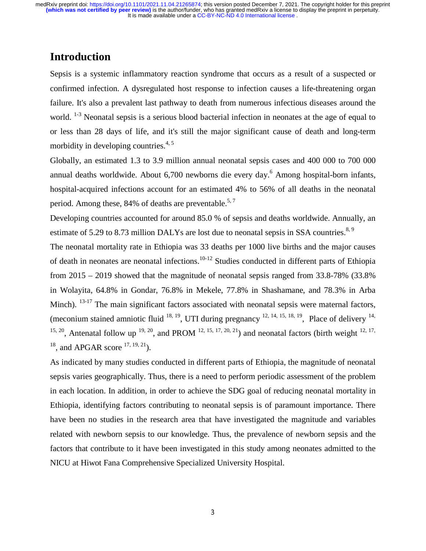## **Introduction**

Sepsis is a systemic inflammatory reaction syndrome that occurs as a result of a suspected or confirmed infection. A dysregulated host response to infection causes a life-threatening organ failure. It's also a prevalent last pathway to death from numerous infectious diseases around the world.  $1-3$  Neonatal sepsis is a serious blood bacterial infection in neonates at the age of equal to or less than 28 days of life, and it's still the major significant cause of death and long-term morbidity in developing countries.<sup>4, 5</sup>

Globally, an estimated 1.3 to 3.9 million annual neonatal sepsis cases and 400 000 to 700 000 annual deaths worldwide. About 6,700 newborns die every day.<sup>6</sup> Among hospital-born infants, hospital-acquired infections account for an estimated 4% to 56% of all deaths in the neonatal period. Among these,  $84\%$  of deaths are preventable.<sup>5,7</sup>

Developing countries accounted for around 85.0 % of sepsis and deaths worldwide. Annually, an estimate of 5.29 to 8.73 million DALYs are lost due to neonatal sepsis in SSA countries.<sup>8, 9</sup>

The neonatal mortality rate in Ethiopia was 33 deaths per 1000 live births and the major causes of death in neonates are neonatal infections.10-12 Studies conducted in different parts of Ethiopia from 2015 – 2019 showed that the magnitude of neonatal sepsis ranged from 33.8-78% (33.8% in Wolayita, 64.8% in Gondar, 76.8% in Mekele, 77.8% in Shashamane, and 78.3% in Arba Minch).  $13-17$  The main significant factors associated with neonatal sepsis were maternal factors, (meconium stained amniotic fluid  $^{18, 19}$ , UTI during pregnancy  $^{12, 14, 15, 18, 19}$ , Place of delivery  $^{14}$ , <sup>15, 20</sup>, Antenatal follow up <sup>19, 20</sup>, and PROM <sup>12, 15, 17, 20, <sup>21</sup>) and neonatal factors (birth weight <sup>12, 17,</sup></sup>  $18$ , and APGAR score  $17, 19, 21$ ).

As indicated by many studies conducted in different parts of Ethiopia, the magnitude of neonatal sepsis varies geographically. Thus, there is a need to perform periodic assessment of the problem in each location. In addition, in order to achieve the SDG goal of reducing neonatal mortality in Ethiopia, identifying factors contributing to neonatal sepsis is of paramount importance. There have been no studies in the research area that have investigated the magnitude and variables related with newborn sepsis to our knowledge. Thus, the prevalence of newborn sepsis and the factors that contribute to it have been investigated in this study among neonates admitted to the NICU at Hiwot Fana Comprehensive Specialized University Hospital.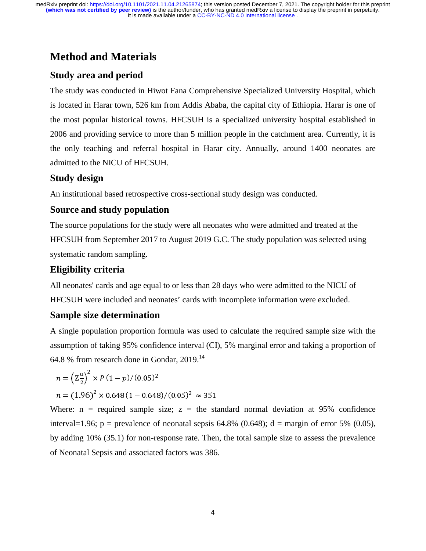## **Method and Materials**

## **Study area and period**

The study was conducted in Hiwot Fana Comprehensive Specialized University Hospital, which is located in Harar town, 526 km from Addis Ababa, the capital city of Ethiopia. Harar is one of the most popular historical towns. HFCSUH is a specialized university hospital established in 2006 and providing service to more than 5 million people in the catchment area. Currently, it is the only teaching and referral hospital in Harar city. Annually, around 1400 neonates are admitted to the NICU of HFCSUH.

### **Study design**

An institutional based retrospective cross-sectional study design was conducted.

### **Source and study population**

The source populations for the study were all neonates who were admitted and treated at the HFCSUH from September 2017 to August 2019 G.C. The study population was selected using systematic random sampling.

### **Eligibility criteria**

All neonates' cards and age equal to or less than 28 days who were admitted to the NICU of HFCSUH were included and neonates' cards with incomplete information were excluded.

## **Sample size determination**

A single population proportion formula was used to calculate the required sample size with the assumption of taking 95% confidence interval (CI), 5% marginal error and taking a proportion of 64.8 % from research done in Gondar,  $2019$ .<sup>14</sup>

$$
n = \left(\frac{\alpha \alpha}{2}\right)^2 \times P(1 - p)/(0.05)^2
$$
  

$$
n = (1.96)^2 \times 0.648(1 - 0.648)/(0.05)^2 \approx 351
$$

Where:  $n =$  required sample size;  $z =$  the standard normal deviation at 95% confidence interval=1.96;  $p =$  prevalence of neonatal sepsis 64.8% (0.648);  $d =$  margin of error 5% (0.05), by adding 10% (35.1) for non-response rate. Then, the total sample size to assess the prevalence of Neonatal Sepsis and associated factors was 386.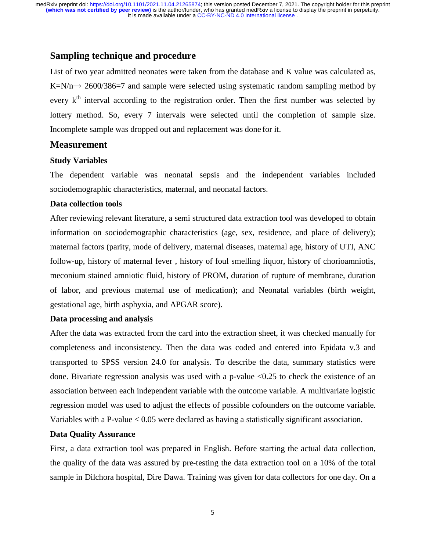#### **Sampling technique and procedure**

List of two year admitted neonates were taken from the database and K value was calculated as,  $K=N/n \rightarrow 2600/386=7$  and sample were selected using systematic random sampling method by<br>example integral association to the movitorian ander. Then the first number was selected by every  $k<sup>th</sup>$  interval according to the registration order. Then the first number was selected by lottery method. So, every 7 intervals were selected until the completion of sample size. Incomplete sample was dropped out and replacement was done for it.

#### **Measurement**

#### **Study Variables**

The dependent variable was neonatal sepsis and the independent variables included sociodemographic characteristics, maternal, and neonatal factors.

#### **Data collection tools**

After reviewing relevant literature, a semi structured data extraction tool was developed to obtain information on sociodemographic characteristics (age, sex, residence, and place of delivery); maternal factors (parity, mode of delivery, maternal diseases, maternal age, history of UTI, ANC follow-up, history of maternal fever , history of foul smelling liquor, history of chorioamniotis, meconium stained amniotic fluid, history of PROM, duration of rupture of membrane, duration of labor, and previous maternal use of medication); and Neonatal variables (birth weight, gestational age, birth asphyxia, and APGAR score).

#### **Data processing and analysis**

After the data was extracted from the card into the extraction sheet, it was checked manually for completeness and inconsistency. Then the data was coded and entered into Epidata v.3 and transported to SPSS version 24.0 for analysis. To describe the data, summary statistics were done. Bivariate regression analysis was used with a p-value <0.25 to check the existence of an association between each independent variable with the outcome variable. A multivariate logistic regression model was used to adjust the effects of possible cofounders on the outcome variable. Variables with a P-value < 0.05 were declared as having a statistically significant association.

#### **Data Quality Assurance**

First, a data extraction tool was prepared in English. Before starting the actual data collection, the quality of the data was assured by pre-testing the data extraction tool on a 10% of the total sample in Dilchora hospital, Dire Dawa. Training was given for data collectors for one day. On a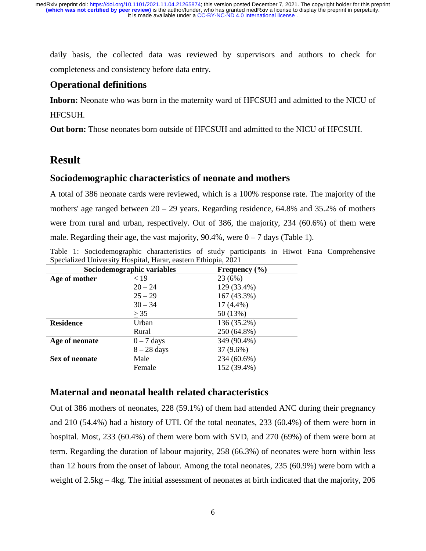daily basis, the collected data was reviewed by supervisors and authors to check for completeness and consistency before data entry.

### **Operational definitions**

**Inborn:** Neonate who was born in the maternity ward of HFCSUH and admitted to the NICU of HFCSUH.

**Out born:** Those neonates born outside of HFCSUH and admitted to the NICU of HFCSUH.

## **Result**

### **Sociodemographic characteristics of neonate and mothers**

A total of 386 neonate cards were reviewed, which is a 100% response rate. The majority of the mothers' age ranged between  $20 - 29$  years. Regarding residence, 64.8% and 35.2% of mothers were from rural and urban, respectively. Out of 386, the majority, 234 (60.6%) of them were male. Regarding their age, the vast majority,  $90.4\%$ , were  $0 - 7$  days (Table 1).

Table 1: Sociodemographic characteristics of study participants in Hiwot Fana Comprehensive Specialized University Hospital, Harar, eastern Ethiopia, 2021

|                  | Sociodemographic variables | Frequency $(\% )$ |  |  |
|------------------|----------------------------|-------------------|--|--|
| Age of mother    | < 19                       | 23 (6%)           |  |  |
|                  | $20 - 24$                  | 129 (33.4%)       |  |  |
|                  | $25 - 29$                  | 167 (43.3%)       |  |  |
|                  | $30 - 34$                  | $17(4.4\%)$       |  |  |
|                  | > 35                       | 50 (13%)          |  |  |
| <b>Residence</b> | Urban                      | 136 (35.2%)       |  |  |
|                  | Rural                      | 250 (64.8%)       |  |  |
| Age of neonate   | $0 - 7$ days               | 349 (90.4%)       |  |  |
|                  | $8-28$ days                | 37 (9.6%)         |  |  |
| Sex of neonate   | Male                       | 234 (60.6%)       |  |  |
|                  | Female                     | 152 (39.4%)       |  |  |

#### **Maternal and neonatal health related characteristics**

Out of 386 mothers of neonates, 228 (59.1%) of them had attended ANC during their pregnancy and 210 (54.4%) had a history of UTI. Of the total neonates, 233 (60.4%) of them were born in hospital. Most, 233 (60.4%) of them were born with SVD, and 270 (69%) of them were born at term. Regarding the duration of labour majority, 258 (66.3%) of neonates were born within less than 12 hours from the onset of labour. Among the total neonates, 235 (60.9%) were born with a weight of 2.5kg – 4kg. The initial assessment of neonates at birth indicated that the majority, 206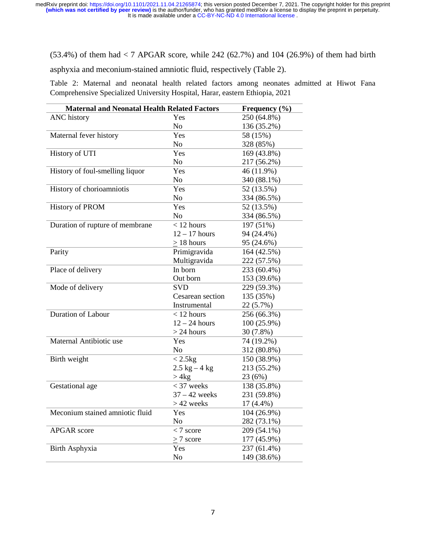$(53.4%)$  of them had  $< 7$  APGAR score, while 242  $(62.7%)$  and 104  $(26.9%)$  of them had birth

asphyxia and meconium-stained amniotic fluid, respectively (Table 2).

Table 2: Maternal and neonatal health related factors among neonates admitted at Hiwot Fana Comprehensive Specialized University Hospital, Harar, eastern Ethiopia, 2021

| <b>Maternal and Neonatal Health Related Factors</b> |                  | Frequency (%) |
|-----------------------------------------------------|------------------|---------------|
| <b>ANC</b> history                                  | Yes              | 250 (64.8%)   |
|                                                     | N <sub>o</sub>   | 136 (35.2%)   |
| Maternal fever history                              | Yes              | 58 (15%)      |
|                                                     | N <sub>o</sub>   | 328 (85%)     |
| History of UTI                                      | Yes              | 169 (43.8%)   |
|                                                     | N <sub>o</sub>   | 217 (56.2%)   |
| History of foul-smelling liquor                     | Yes              | 46 (11.9%)    |
|                                                     | No               | 340 (88.1%)   |
| History of chorioamniotis                           | Yes              | 52 (13.5%)    |
|                                                     | N <sub>o</sub>   | 334 (86.5%)   |
| <b>History of PROM</b>                              | Yes              | 52 (13.5%)    |
|                                                     | No               | 334 (86.5%)   |
| Duration of rupture of membrane                     | $<$ 12 hours     | 197 (51%)     |
|                                                     | $12 - 17$ hours  | 94 (24.4%)    |
|                                                     | $> 18$ hours     | 95 (24.6%)    |
| Parity                                              | Primigravida     | 164 (42.5%)   |
|                                                     | Multigravida     | 222 (57.5%)   |
| Place of delivery                                   | In born          | 233 (60.4%)   |
|                                                     | Out born         | 153 (39.6%)   |
| Mode of delivery                                    | <b>SVD</b>       | 229 (59.3%)   |
|                                                     | Cesarean section | 135 (35%)     |
|                                                     | Instrumental     | 22 (5.7%)     |
| <b>Duration of Labour</b>                           | $<$ 12 hours     | 256 (66.3%)   |
|                                                     | $12 - 24$ hours  | 100 (25.9%)   |
|                                                     | $>$ 24 hours     | 30 (7.8%)     |
| Maternal Antibiotic use                             | Yes              | 74 (19.2%)    |
|                                                     | No               | 312 (80.8%)   |
| Birth weight                                        | $< 2.5$ kg       | 150 (38.9%)   |
|                                                     | $2.5$ kg $-4$ kg | 213 (55.2%)   |
|                                                     | > 4kg            | 23 (6%)       |
| Gestational age                                     | $<$ 37 weeks     | 138 (35.8%)   |
|                                                     | $37 - 42$ weeks  | 231 (59.8%)   |
|                                                     | $>42$ weeks      | $17(4.4\%)$   |
| Meconium stained amniotic fluid                     | Yes              | 104 (26.9%)   |
|                                                     | N <sub>o</sub>   | 282 (73.1%)   |
| <b>APGAR</b> score                                  | $< 7$ score      | 209 (54.1%)   |
|                                                     | $> 7$ score      | 177 (45.9%)   |
| Birth Asphyxia                                      | Yes              | 237 (61.4%)   |
|                                                     | N <sub>o</sub>   | 149 (38.6%)   |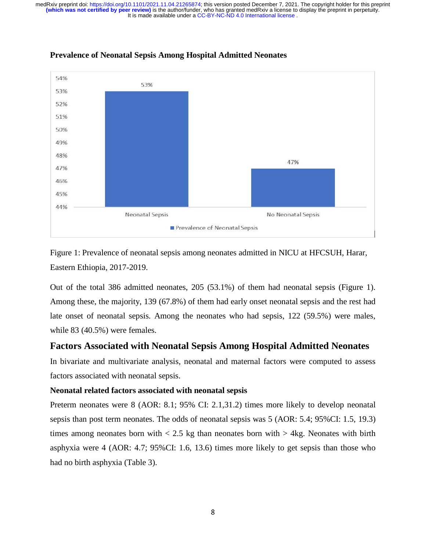It is made available under a [CC-BY-NC-ND 4.0 International license](http://creativecommons.org/licenses/by-nc-nd/4.0/) . **(which was not certified by peer review)** is the author/funder, who has granted medRxiv a license to display the preprint in perpetuity. medRxiv preprint doi: [https://doi.org/10.1101/2021.11.04.21265874;](https://doi.org/10.1101/2021.11.04.21265874) this version posted December 7, 2021. The copyright holder for this preprint



#### **Prevalence of Neonatal Sepsis Among Hospital Admitted Neonates**

Figure 1: Prevalence of neonatal sepsis among neonates admitted in NICU at HFCSUH, Harar, Eastern Ethiopia, 2017-2019.

Out of the total 386 admitted neonates, 205 (53.1%) of them had neonatal sepsis (Figure 1). Among these, the majority, 139 (67.8%) of them had early onset neonatal sepsis and the rest had late onset of neonatal sepsis. Among the neonates who had sepsis, 122 (59.5%) were males, while 83 (40.5%) were females.

#### **Factors Associated with Neonatal Sepsis Among Hospital Admitted Neonates**

In bivariate and multivariate analysis, neonatal and maternal factors were computed to assess factors associated with neonatal sepsis.

#### **Neonatal related factors associated with neonatal sepsis**

Preterm neonates were 8 (AOR: 8.1; 95% CI: 2.1,31.2) times more likely to develop neonatal sepsis than post term neonates. The odds of neonatal sepsis was 5 (AOR: 5.4; 95%CI: 1.5, 19.3) times among neonates born with  $\langle 2.5 \text{ kg}$  than neonates born with  $> 4 \text{ kg}$ . Neonates with birth asphyxia were 4 (AOR: 4.7; 95%CI: 1.6, 13.6) times more likely to get sepsis than those who had no birth asphyxia (Table 3).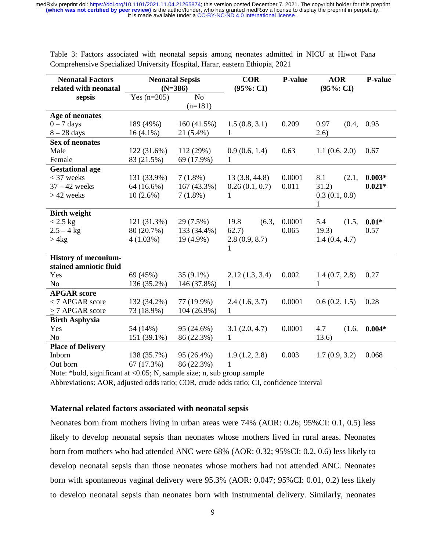| <b>Neonatal Factors</b><br>related with neonatal |               | <b>Neonatal Sepsis</b><br>$(N=386)$ | <b>COR</b><br>$(95\% : CI)$ | <b>P-value</b> | <b>AOR</b><br>$(95\% : CI)$ | P-value  |
|--------------------------------------------------|---------------|-------------------------------------|-----------------------------|----------------|-----------------------------|----------|
| sepsis                                           | Yes $(n=205)$ | No                                  |                             |                |                             |          |
|                                                  |               | $(n=181)$                           |                             |                |                             |          |
| Age of neonates                                  |               |                                     |                             |                |                             |          |
| $0 - 7$ days                                     | 189 (49%)     | 160(41.5%)                          | 1.5(0.8, 3.1)               | 0.209          | 0.97<br>(0.4,               | 0.95     |
| $8-28$ days                                      | $16(4.1\%)$   | 21 (5.4%)                           | 1                           |                | (2.6)                       |          |
| <b>Sex of neonates</b>                           |               |                                     |                             |                |                             |          |
| Male                                             | 122(31.6%)    | 112(29%)                            | 0.9(0.6, 1.4)               | 0.63           | 1.1(0.6, 2.0)               | 0.67     |
| Female                                           | 83 (21.5%)    | 69 (17.9%)                          | $\mathbf{1}$                |                |                             |          |
| <b>Gestational age</b>                           |               |                                     |                             |                |                             |          |
| $<$ 37 weeks                                     | 131 (33.9%)   | $7(1.8\%)$                          | 13(3.8, 44.8)               | 0.0001         | 8.1<br>(2.1,                | $0.003*$ |
| $37 - 42$ weeks                                  | 64 (16.6%)    | 167 (43.3%)                         | 0.26(0.1, 0.7)              | 0.011          | 31.2)                       | $0.021*$ |
| $>42$ weeks                                      | $10(2.6\%)$   | $7(1.8\%)$                          | 1                           |                | 0.3(0.1, 0.8)<br>1          |          |
| <b>Birth weight</b>                              |               |                                     |                             |                |                             |          |
| $<2.5~\mathrm{kg}$                               | 121(31.3%)    | 29(7.5%)                            | 19.8<br>(6.3,               | 0.0001         | $5.4$ $(1.5,$               | $0.01*$  |
| $2.5 - 4$ kg                                     | 80 (20.7%)    | 133 (34.4%)                         | 62.7)                       | 0.065          | 19.3)                       | 0.57     |
| > 4kg                                            | $4(1.03\%)$   | $19(4.9\%)$                         | 2.8(0.9, 8.7)<br>1          |                | 1.4(0.4, 4.7)               |          |
| <b>History of meconium-</b>                      |               |                                     |                             |                |                             |          |
| stained amniotic fluid                           |               |                                     |                             |                |                             |          |
| Yes                                              | 69 (45%)      | $35(9.1\%)$                         | 2.12(1.3, 3.4)              | 0.002          | 1.4(0.7, 2.8)               | 0.27     |
| N <sub>o</sub>                                   | 136 (35.2%)   | 146 (37.8%)                         | $\mathbf{1}$                |                | 1                           |          |
| <b>APGAR</b> score                               |               |                                     |                             |                |                             |          |
| <7 APGAR score                                   | 132 (34.2%)   | 77 (19.9%)                          | 2.4(1.6, 3.7)               | 0.0001         | 0.6(0.2, 1.5)               | 0.28     |
| >7 APGAR score                                   | 73 (18.9%)    | $104(26.9\%)$                       | $\mathbf{1}$                |                |                             |          |
| <b>Birth Asphyxia</b>                            |               |                                     |                             |                |                             |          |
| Yes                                              | 54 (14%)      | 95 (24.6%)                          | 3.1(2.0, 4.7)               | 0.0001         | 4.7<br>(1.6,                | $0.004*$ |
| N <sub>o</sub>                                   | 151 (39.1%)   | 86 (22.3%)                          | 1                           |                | 13.6)                       |          |
| <b>Place of Delivery</b>                         |               |                                     |                             |                |                             |          |
| Inborn                                           | 138 (35.7%)   | 95 (26.4%)                          | 1.9(1.2, 2.8)               | 0.003          | 1.7(0.9, 3.2)               | 0.068    |
| Out born                                         | 67(17.3%)     | 86 (22.3%)                          | $\mathbf{1}$                |                |                             |          |

Table 3: Factors associated with neonatal sepsis among neonates admitted in NICU at Hiwot Fana Comprehensive Specialized University Hospital, Harar, eastern Ethiopia, 2021

Note: \*bold, significant at <0.05; N, sample size; n, sub group sample

Abbreviations: AOR, adjusted odds ratio; COR, crude odds ratio; CI, confidence interval

#### **Maternal related factors associated with neonatal sepsis**

Neonates born from mothers living in urban areas were 74% (AOR: 0.26; 95%CI: 0.1, 0.5) less likely to develop neonatal sepsis than neonates whose mothers lived in rural areas. Neonates born from mothers who had attended ANC were 68% (AOR: 0.32; 95%CI: 0.2, 0.6) less likely to develop neonatal sepsis than those neonates whose mothers had not attended ANC. Neonates born with spontaneous vaginal delivery were 95.3% (AOR: 0.047; 95%CI: 0.01, 0.2) less likely to develop neonatal sepsis than neonates born with instrumental delivery. Similarly, neonates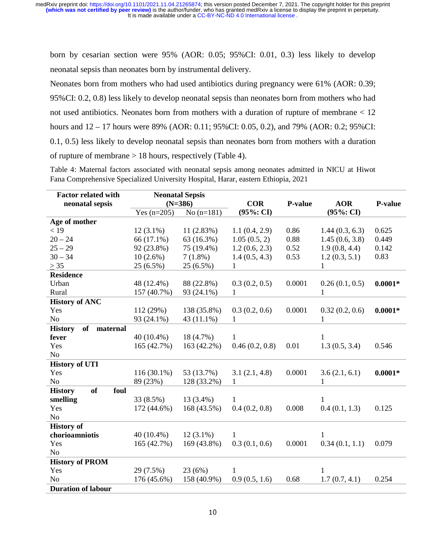born by cesarian section were 95% (AOR: 0.05; 95%CI: 0.01, 0.3) less likely to develop neonatal sepsis than neonates born by instrumental delivery.

Neonates born from mothers who had used antibiotics during pregnancy were 61% (AOR: 0.39; 95%CI: 0.2, 0.8) less likely to develop neonatal sepsis than neonates born from mothers who had not used antibiotics. Neonates born from mothers with a duration of rupture of membrane < 12 hours and 12 – 17 hours were 89% (AOR: 0.11; 95%CI: 0.05, 0.2), and 79% (AOR: 0.2; 95%CI: 0.1, 0.5) less likely to develop neonatal sepsis than neonates born from mothers with a duration of rupture of membrane > 18 hours, respectively (Table 4).

Table 4: Maternal factors associated with neonatal sepsis among neonates admitted in NICU at Hiwot Fana Comprehensive Specialized University Hospital, Harar, eastern Ethiopia, 2021

| <b>Factor related with</b>          | <b>Neonatal Sepsis</b> |              |                |                |                |                |
|-------------------------------------|------------------------|--------------|----------------|----------------|----------------|----------------|
| neonatal sepsis                     | $(N=386)$              |              | <b>COR</b>     | <b>P-value</b> | <b>AOR</b>     | <b>P-value</b> |
|                                     | Yes $(n=205)$          | No $(n=181)$ | $(95\% : CI)$  |                | $(95\% : CI)$  |                |
| Age of mother                       |                        |              |                |                |                |                |
| < 19                                | $12(3.1\%)$            | 11(2.83%)    | 1.1(0.4, 2.9)  | 0.86           | 1.44(0.3, 6.3) | 0.625          |
| $20 - 24$                           | 66 (17.1%)             | 63 (16.3%)   | 1.05(0.5, 2)   | 0.88           | 1.45(0.6, 3.8) | 0.449          |
| $25 - 29$                           | 92 (23.8%)             | 75 (19.4%)   | 1.2(0.6, 2.3)  | 0.52           | 1.9(0.8, 4.4)  | 0.142          |
| $30 - 34$                           | $10(2.6\%)$            | $7(1.8\%)$   | 1.4(0.5, 4.3)  | 0.53           | 1.2(0.3, 5.1)  | 0.83           |
| $\geq$ 35                           | 25 (6.5%)              | 25 (6.5%)    | $\mathbf{1}$   |                | $\mathbf{1}$   |                |
| <b>Residence</b>                    |                        |              |                |                |                |                |
| Urban                               | 48 (12.4%)             | 88 (22.8%)   | 0.3(0.2, 0.5)  | 0.0001         | 0.26(0.1, 0.5) | $0.0001*$      |
| Rural                               | 157 (40.7%)            | 93 (24.1%)   | 1              |                | 1              |                |
| <b>History of ANC</b>               |                        |              |                |                |                |                |
| Yes                                 | 112 (29%)              | 138 (35.8%)  | 0.3(0.2, 0.6)  | 0.0001         | 0.32(0.2, 0.6) | $0.0001*$      |
| No                                  | 93 (24.1%)             | 43 (11.1%)   | $\mathbf{1}$   |                | 1              |                |
| of<br><b>History</b><br>maternal    |                        |              |                |                |                |                |
| fever                               | $40(10.4\%)$           | 18 (4.7%)    | 1              |                | $\mathbf{1}$   |                |
| Yes                                 | 165 (42.7%)            | 163 (42.2%)  | 0.46(0.2, 0.8) | 0.01           | 1.3(0.5, 3.4)  | 0.546          |
| No                                  |                        |              |                |                |                |                |
| <b>History of UTI</b>               |                        |              |                |                |                |                |
| Yes                                 | $116(30.1\%)$          | 53 (13.7%)   | 3.1(2.1, 4.8)  | 0.0001         | 3.6(2.1, 6.1)  | $0.0001*$      |
| No                                  | 89 (23%)               | 128 (33.2%)  | 1              |                | 1              |                |
| <b>of</b><br><b>History</b><br>foul |                        |              |                |                |                |                |
| smelling                            | 33(8.5%)               | $13(3.4\%)$  | 1              |                | 1              |                |
| Yes                                 | 172 (44.6%)            | 168 (43.5%)  | 0.4(0.2, 0.8)  | 0.008          | 0.4(0.1, 1.3)  | 0.125          |
| No                                  |                        |              |                |                |                |                |
| <b>History of</b>                   |                        |              |                |                |                |                |
| chorioamniotis                      | $40(10.4\%)$           | $12(3.1\%)$  | $\mathbf{1}$   |                | $\mathbf{1}$   |                |
| Yes                                 | 165 (42.7%)            | 169 (43.8%)  | 0.3(0.1, 0.6)  | 0.0001         | 0.34(0.1, 1.1) | 0.079          |
| N <sub>o</sub>                      |                        |              |                |                |                |                |
| <b>History of PROM</b>              |                        |              |                |                |                |                |
| Yes                                 | $29(7.5\%)$            | 23 (6%)      | 1              |                | $\mathbf{1}$   |                |
| N <sub>o</sub>                      | 176 (45.6%)            | 158 (40.9%)  | 0.9(0.5, 1.6)  | 0.68           | 1.7(0.7, 4.1)  | 0.254          |
| <b>Duration of labour</b>           |                        |              |                |                |                |                |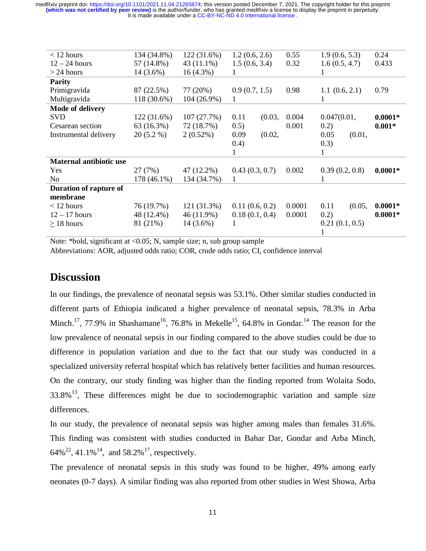It is made available under a [CC-BY-NC-ND 4.0 International license](http://creativecommons.org/licenses/by-nc-nd/4.0/) . **(which was not certified by peer review)** is the author/funder, who has granted medRxiv a license to display the preprint in perpetuity. medRxiv preprint doi: [https://doi.org/10.1101/2021.11.04.21265874;](https://doi.org/10.1101/2021.11.04.21265874) this version posted December 7, 2021. The copyright holder for this preprint

| $<$ 12 hours                   | 134 (34.8%) | 122(31.6%)  | 1.2(0.6, 2.6)  | 0.55   | 1.9(0.6, 5.3)  | 0.24      |
|--------------------------------|-------------|-------------|----------------|--------|----------------|-----------|
| $12 - 24$ hours                | 57 (14.8%)  | 43 (11.1%)  | 1.5(0.6, 3.4)  | 0.32   | 1.6(0.5, 4.7)  | 0.433     |
| $>$ 24 hours                   | $14(3.6\%)$ | $16(4.3\%)$ |                |        |                |           |
| <b>Parity</b>                  |             |             |                |        |                |           |
| Primigravida                   | 87 (22.5%)  | 77 (20%)    | 0.9(0.7, 1.5)  | 0.98   | 1.1(0.6, 2.1)  | 0.79      |
| Multigravida                   | 118 (30.6%) | 104 (26.9%) | 1              |        | 1              |           |
| <b>Mode of delivery</b>        |             |             |                |        |                |           |
| <b>SVD</b>                     | 122 (31.6%) | 107(27.7%)  | 0.11<br>(0.03, | 0.004  | 0.047(0.01,    | $0.0001*$ |
| Cesarean section               | 63(16.3%)   | 72 (18.7%)  | 0.5)           | 0.001  | 0.2)           | $0.001*$  |
| Instrumental delivery          | $20(5.2\%)$ | 2(0.52%)    | 0.09<br>(0.02, |        | 0.05<br>(0.01, |           |
|                                |             |             | (0.4)          |        | (0.3)          |           |
|                                |             |             |                |        | 1              |           |
| <b>Maternal antibiotic use</b> |             |             |                |        |                |           |
| Yes                            | 27 (7%)     | 47 (12.2%)  | 0.43(0.3, 0.7) | 0.002  | 0.39(0.2, 0.8) | $0.0001*$ |
| No.                            | 178 (46.1%) | 134 (34.7%) | 1              |        | 1              |           |
| Duration of rapture of         |             |             |                |        |                |           |
| membrane                       |             |             |                |        |                |           |
| $<$ 12 hours                   | 76 (19.7%)  | 121 (31.3%) | 0.11(0.6, 0.2) | 0.0001 | 0.11<br>(0.05, | $0.0001*$ |
| $12 - 17$ hours                | 48 (12.4%)  | 46 (11.9%)  | 0.18(0.1, 0.4) | 0.0001 | 0.2)           | $0.0001*$ |
| $>$ 18 hours                   | 81 (21%)    | $14(3.6\%)$ | 1              |        | 0.21(0.1, 0.5) |           |
|                                |             |             |                |        | T              |           |

Note: \*bold, significant at <0.05; N, sample size; n, sub group sample Abbreviations: AOR, adjusted odds ratio; COR, crude odds ratio; CI, confidence interval

## **Discussion**

In our findings, the prevalence of neonatal sepsis was 53.1%. Other similar studies conducted in different parts of Ethiopia indicated a higher prevalence of neonatal sepsis, 78.3% in Arba Minch.<sup>17</sup>, 77.9% in Shashamane<sup>16</sup>, 76.8% in Mekelle<sup>15</sup>, 64.8% in Gondar.<sup>14</sup> The reason for the low prevalence of neonatal sepsis in our finding compared to the above studies could be due to difference in population variation and due to the fact that our study was conducted in a specialized university referral hospital which has relatively better facilities and human resources. On the contrary, our study finding was higher than the finding reported from Wolaita Sodo,  $33.8\%$ <sup>13</sup>, These differences might be due to sociodemographic variation and sample size differences.

In our study, the prevalence of neonatal sepsis was higher among males than females 31.6%. This finding was consistent with studies conducted in Bahar Dar, Gondar and Arba Minch, 64%<sup>22</sup>, 41.1%<sup>14</sup>, and 58.2%<sup>17</sup>, respectively.

The prevalence of neonatal sepsis in this study was found to be higher, 49% among early neonates (0-7 days). A similar finding was also reported from other studies in West Showa, Arba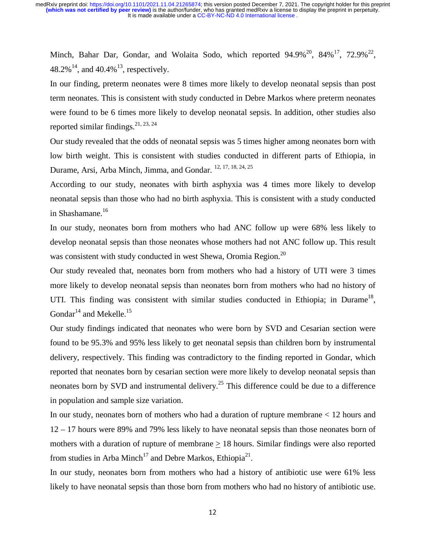Minch, Bahar Dar, Gondar, and Wolaita Sodo, which reported  $94.9\%^{20}$ ,  $84\%^{17}$ ,  $72.9\%^{22}$ , 48.2%<sup>14</sup>, and 40.4%<sup>13</sup>, respectively.

In our finding, preterm neonates were 8 times more likely to develop neonatal sepsis than post term neonates. This is consistent with study conducted in Debre Markos where preterm neonates were found to be 6 times more likely to develop neonatal sepsis. In addition, other studies also reported similar findings.  $2^{1, 23, 24}$ 

Our study revealed that the odds of neonatal sepsis was 5 times higher among neonates born with low birth weight. This is consistent with studies conducted in different parts of Ethiopia, in Durame, Arsi, Arba Minch, Jimma, and Gondar. 12, 17, 18, 24, 25

According to our study, neonates with birth asphyxia was 4 times more likely to develop neonatal sepsis than those who had no birth asphyxia. This is consistent with a study conducted in Shashamane.<sup>16</sup>

In our study, neonates born from mothers who had ANC follow up were 68% less likely to develop neonatal sepsis than those neonates whose mothers had not ANC follow up. This result was consistent with study conducted in west Shewa, Oromia Region.<sup>20</sup>

Our study revealed that, neonates born from mothers who had a history of UTI were 3 times more likely to develop neonatal sepsis than neonates born from mothers who had no history of UTI. This finding was consistent with similar studies conducted in Ethiopia; in Durame<sup>18</sup>, Gondar<sup>14</sup> and Mekelle.<sup>15</sup>

Our study findings indicated that neonates who were born by SVD and Cesarian section were found to be 95.3% and 95% less likely to get neonatal sepsis than children born by instrumental delivery, respectively. This finding was contradictory to the finding reported in Gondar, which reported that neonates born by cesarian section were more likely to develop neonatal sepsis than neonates born by SVD and instrumental delivery.<sup>25</sup> This difference could be due to a difference in population and sample size variation.

In our study, neonates born of mothers who had a duration of rupture membrane < 12 hours and 12 – 17 hours were 89% and 79% less likely to have neonatal sepsis than those neonates born of mothers with a duration of rupture of membrane  $\geq 18$  hours. Similar findings were also reported from studies in Arba Minch<sup>17</sup> and Debre Markos, Ethiopia<sup>21</sup>.

In our study, neonates born from mothers who had a history of antibiotic use were 61% less likely to have neonatal sepsis than those born from mothers who had no history of antibiotic use.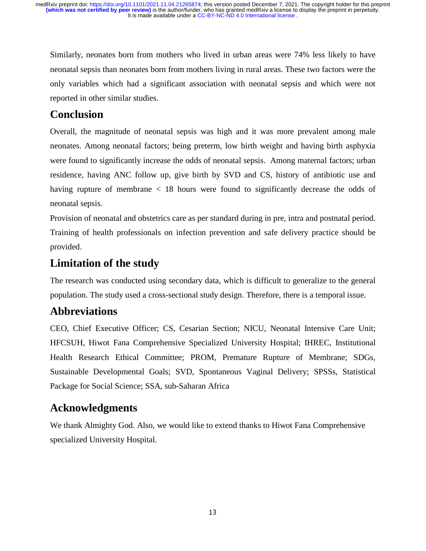Similarly, neonates born from mothers who lived in urban areas were 74% less likely to have neonatal sepsis than neonates born from mothers living in rural areas. These two factors were the only variables which had a significant association with neonatal sepsis and which were not reported in other similar studies.

## **Conclusion**

Overall, the magnitude of neonatal sepsis was high and it was more prevalent among male neonates. Among neonatal factors; being preterm, low birth weight and having birth asphyxia were found to significantly increase the odds of neonatal sepsis. Among maternal factors; urban residence, having ANC follow up, give birth by SVD and CS, history of antibiotic use and having rupture of membrane  $\langle$  18 hours were found to significantly decrease the odds of neonatal sepsis.

Provision of neonatal and obstetrics care as per standard during in pre, intra and postnatal period. Training of health professionals on infection prevention and safe delivery practice should be provided.

## **Limitation of the study**

The research was conducted using secondary data, which is difficult to generalize to the general population. The study used a cross-sectional study design. Therefore, there is a temporal issue.

## **Abbreviations**

CEO, Chief Executive Officer; CS, Cesarian Section; NICU, Neonatal Intensive Care Unit; HFCSUH, Hiwot Fana Comprehensive Specialized University Hospital; IHREC, Institutional Health Research Ethical Committee; PROM, Premature Rupture of Membrane; SDGs, Sustainable Developmental Goals; SVD, Spontaneous Vaginal Delivery; SPSSs, Statistical Package for Social Science; SSA, sub-Saharan Africa

## **Acknowledgments**

We thank Almighty God. Also, we would like to extend thanks to Hiwot Fana Comprehensive specialized University Hospital.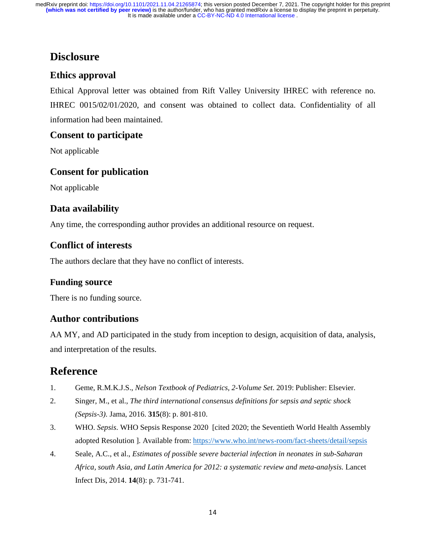## **Disclosure**

## **Ethics approval**

Ethical Approval letter was obtained from Rift Valley University IHREC with reference no. IHREC 0015/02/01/2020, and consent was obtained to collect data. Confidentiality of all information had been maintained.

## **Consent to participate**

Not applicable

## **Consent for publication**

Not applicable

## **Data availability**

Any time, the corresponding author provides an additional resource on request.

## **Conflict of interests**

The authors declare that they have no conflict of interests.

### **Funding source**

There is no funding source.

## **Author contributions**

AA MY, and AD participated in the study from inception to design, acquisition of data, analysis, and interpretation of the results.

## **Reference**

- 1. Geme, R.M.K.J.S., *Nelson Textbook of Pediatrics, 2-Volume Set*. 2019: Publisher: Elsevier.
- 2. Singer, M., et al., *The third international consensus definitions for sepsis and septic shock (Sepsis-3).* Jama, 2016. **315**(8): p. 801-810.
- 3. WHO. *Sepsis*. WHO Sepsis Response 2020 [cited 2020; the Seventieth World Health Assembly adopted Resolution ]. Available from: https://www.who.int/news-room/fact-sheets/detail/sepsis
- 4. Seale, A.C., et al., *Estimates of possible severe bacterial infection in neonates in sub-Saharan Africa, south Asia, and Latin America for 2012: a systematic review and meta-analysis.* Lancet Infect Dis, 2014. **14**(8): p. 731-741.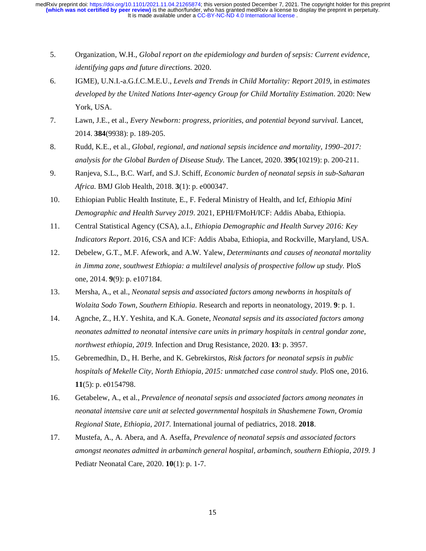- 5. Organization, W.H., *Global report on the epidemiology and burden of sepsis: Current evidence, identifying gaps and future directions.* 2020.
- 6. IGME), U.N.I.-a.G.f.C.M.E.U., *Levels and Trends in Child Mortality: Report 2019*, in *estimates developed by the United Nations Inter-agency Group for Child Mortality Estimation*. 2020: New York, USA.
- 7. Lawn, J.E., et al., *Every Newborn: progress, priorities, and potential beyond survival.* Lancet, 2014. **384**(9938): p. 189-205.
- 8. Rudd, K.E., et al., *Global, regional, and national sepsis incidence and mortality, 1990–2017: analysis for the Global Burden of Disease Study.* The Lancet, 2020. **395**(10219): p. 200-211.
- 9. Ranjeva, S.L., B.C. Warf, and S.J. Schiff, *Economic burden of neonatal sepsis in sub-Saharan Africa.* BMJ Glob Health, 2018. **3**(1): p. e000347.
- 10. Ethiopian Public Health Institute, E., F. Federal Ministry of Health, and Icf, *Ethiopia Mini Demographic and Health Survey 2019*. 2021, EPHI/FMoH/ICF: Addis Ababa, Ethiopia.
- 11. Central Statistical Agency (CSA), a.I., *Ethiopia Demographic and Health Survey 2016: Key Indicators Report*. 2016, CSA and ICF: Addis Ababa, Ethiopia, and Rockville, Maryland, USA.
- 12. Debelew, G.T., M.F. Afework, and A.W. Yalew, *Determinants and causes of neonatal mortality in Jimma zone, southwest Ethiopia: a multilevel analysis of prospective follow up study.* PloS one, 2014. **9**(9): p. e107184.
- 13. Mersha, A., et al., *Neonatal sepsis and associated factors among newborns in hospitals of Wolaita Sodo Town, Southern Ethiopia.* Research and reports in neonatology, 2019. **9**: p. 1.
- 14. Agnche, Z., H.Y. Yeshita, and K.A. Gonete, *Neonatal sepsis and its associated factors among neonates admitted to neonatal intensive care units in primary hospitals in central gondar zone, northwest ethiopia, 2019.* Infection and Drug Resistance, 2020. **13**: p. 3957.
- 15. Gebremedhin, D., H. Berhe, and K. Gebrekirstos, *Risk factors for neonatal sepsis in public hospitals of Mekelle City, North Ethiopia, 2015: unmatched case control study.* PloS one, 2016. **11**(5): p. e0154798.
- 16. Getabelew, A., et al., *Prevalence of neonatal sepsis and associated factors among neonates in neonatal intensive care unit at selected governmental hospitals in Shashemene Town, Oromia Regional State, Ethiopia, 2017.* International journal of pediatrics, 2018. **2018**.
- 17. Mustefa, A., A. Abera, and A. Aseffa, *Prevalence of neonatal sepsis and associated factors amongst neonates admitted in arbaminch general hospital, arbaminch, southern Ethiopia, 2019.* J Pediatr Neonatal Care, 2020. **10**(1): p. 1-7.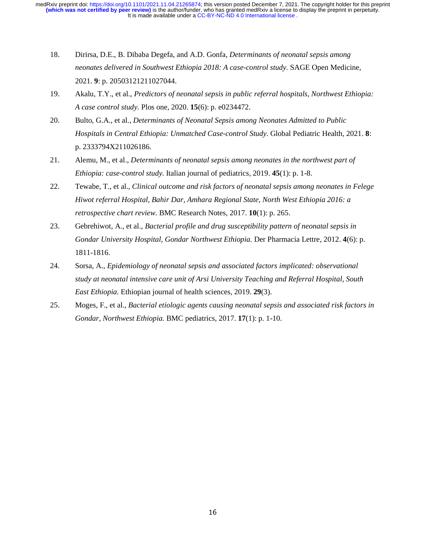- 18. Dirirsa, D.E., B. Dibaba Degefa, and A.D. Gonfa, *Determinants of neonatal sepsis among neonates delivered in Southwest Ethiopia 2018: A case-control study.* SAGE Open Medicine, 2021. **9**: p. 20503121211027044.
- 19. Akalu, T.Y., et al., *Predictors of neonatal sepsis in public referral hospitals, Northwest Ethiopia: A case control study.* Plos one, 2020. **15**(6): p. e0234472.
- 20. Bulto, G.A., et al., *Determinants of Neonatal Sepsis among Neonates Admitted to Public Hospitals in Central Ethiopia: Unmatched Case-control Study.* Global Pediatric Health, 2021. **8**: p. 2333794X211026186.
- 21. Alemu, M., et al., *Determinants of neonatal sepsis among neonates in the northwest part of Ethiopia: case-control study.* Italian journal of pediatrics, 2019. **45**(1): p. 1-8.
- 22. Tewabe, T., et al., *Clinical outcome and risk factors of neonatal sepsis among neonates in Felege Hiwot referral Hospital, Bahir Dar, Amhara Regional State, North West Ethiopia 2016: a retrospective chart review.* BMC Research Notes, 2017. **10**(1): p. 265.
- 23. Gebrehiwot, A., et al., *Bacterial profile and drug susceptibility pattern of neonatal sepsis in Gondar University Hospital, Gondar Northwest Ethiopia.* Der Pharmacia Lettre, 2012. **4**(6): p. 1811-1816.
- 24. Sorsa, A., *Epidemiology of neonatal sepsis and associated factors implicated: observational study at neonatal intensive care unit of Arsi University Teaching and Referral Hospital, South East Ethiopia.* Ethiopian journal of health sciences, 2019. **29**(3).
- 25. Moges, F., et al., *Bacterial etiologic agents causing neonatal sepsis and associated risk factors in Gondar, Northwest Ethiopia.* BMC pediatrics, 2017. **17**(1): p. 1-10.